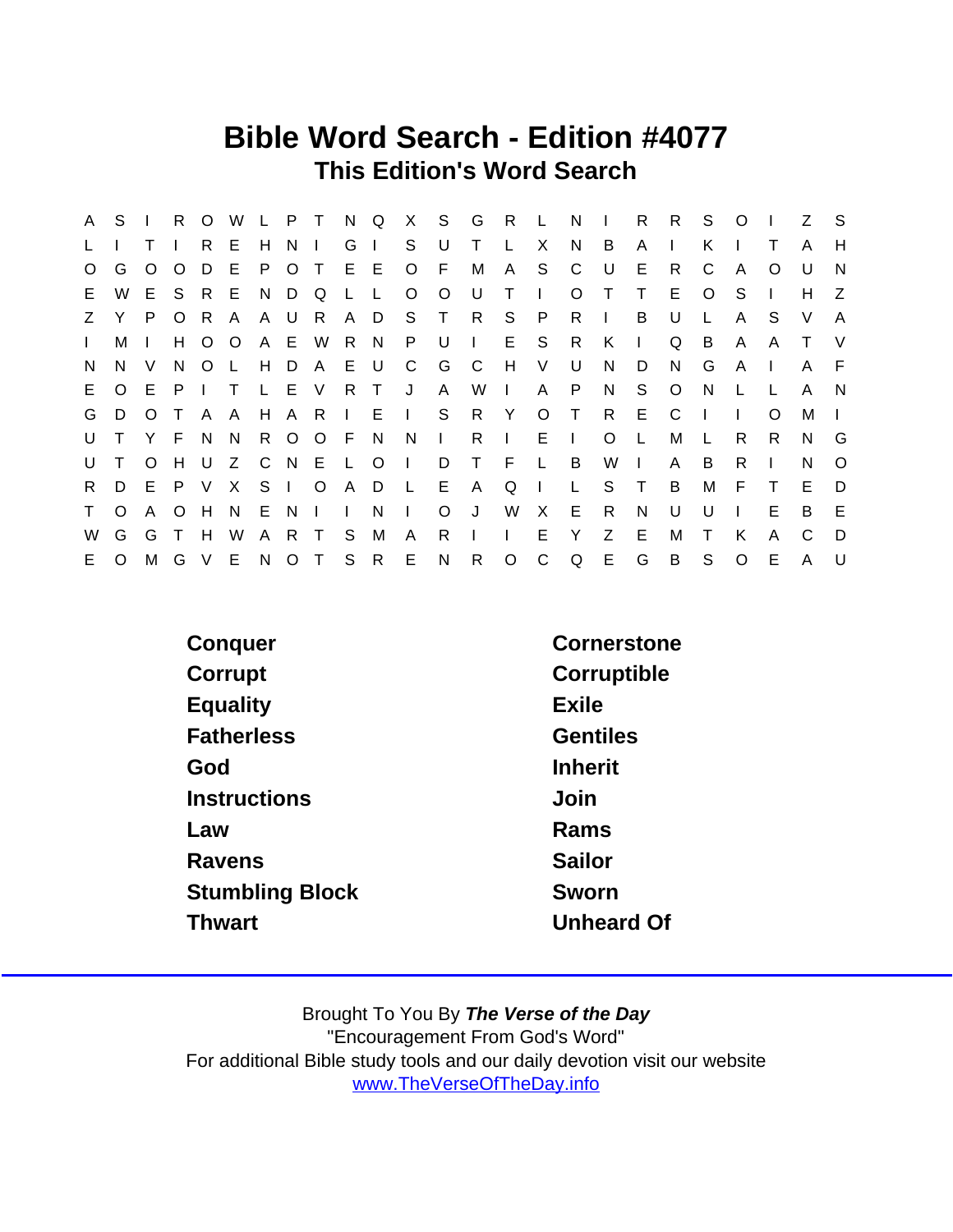## Bible Word Search - Edition #4077 This Edition's Word Search

| A            | S            | $\mathbf{L}$ |         | R O          | W            | L P T        |                |           | N            | Q      |                |                | X S G R L      |              |                | N              | $\mathbf{1}$ | R        | R.           | S.           | $\circ$       | $\blacksquare$ | Z S          |              |
|--------------|--------------|--------------|---------|--------------|--------------|--------------|----------------|-----------|--------------|--------|----------------|----------------|----------------|--------------|----------------|----------------|--------------|----------|--------------|--------------|---------------|----------------|--------------|--------------|
| L            |              |              |         | R            | E            | H            | N <sub>1</sub> |           | G            | $\Box$ | S              | U              | $\top$         |              | X              | N              | B            | A        | $\mathbf{I}$ | K.           |               |                | A            | H            |
| $\circ$      | G            | O            | $\circ$ | D            | - E          |              | P O T          |           | E E          |        |                | O F            | M              |              | A S            | $\mathbf{C}$   | U            | Е        | R.           | C            | A             | $\Omega$       | U            | N            |
| E.           | W            | E.           |         | S R          | - E          |              | N D Q          |           | L L          |        | $\circ$        | $\overline{O}$ | U              | $\top$       | $\mathbf{L}$   | $\circ$        |              | $\top$   | E.           | $\circ$      | -S            |                | H            | Z            |
| Z            | Y.           | P.           | $\circ$ | - R          | A            |              | A U R          |           | A D          |        |                | S T            | R S P          |              |                | R              | $\sim 1$ .   | B        | U            | $\mathsf{L}$ | $\mathsf{A}$  | S              | V            | $\mathsf{A}$ |
| $\mathbf{L}$ | М            |              | H       | $\circ$      | $\circ$      |              |                | A E W     | R N          |        | P.             | <b>U</b>       | $\sim 1$ .     | E S          |                | R              | K            | $\Box$   | Q            | B            | A             | A              | T.           | V            |
| N            | N.           | V            | N       | $\circ$      | $\mathsf{L}$ |              |                | H D A E U |              |        | C              | G              | $\overline{C}$ | H V          |                | U              | N            | D        | N            | G            | $\mathsf{A}$  | $\mathbf{L}$   | A            | F.           |
| E.           | $\circ$      | - E -        |         | PIT          |              |              | L E V          |           | R T          |        | J              | A              | W              | $\sim 1$ .   | A              | - P            | N            | S.       | $\circ$      | <sup>N</sup> |               |                | A            | - N          |
| G            | D            | $\circ$      | $\top$  | $\mathsf{A}$ | - A          |              |                |           |              |        | H A R I E I S  |                | R Y            |              | $O$ T          |                | R            | E.       | C            | $\mathbf{I}$ | $\mathbf{I}$  | O              | М            |              |
| U            | $\top$       |              | Y F     | N            | - N          |              |                | R O O F N |              |        | - N            | $\sim 1$       |                | $R \mid$     | $E \cup$       |                | $\circ$      | - L      | M            |              | R.            | R              | N.           | G            |
| U            | $\mathsf{T}$ | $\circ$      | H       | U            | Z            |              |                |           |              |        | C N E L O I D  |                | $\top$         | F            | $\mathbb{L}^+$ | $\overline{B}$ | W            | $\sim 1$ | A            | B            | R.            |                | N            | $\Omega$     |
| R.           |              | D E P V      |         |              | $\mathsf{X}$ |              | S I O          |           |              | A D L  |                | E              | A              | Q            | $\sim 1$ .     | $\perp$        | S            | $\top$   | B            | М            | E             | $\top$         | E.           | D            |
| $\mathsf{T}$ | $\Omega$     | A            | $\circ$ | H            | N.           |              | ENI            |           | $\mathbb{R}$ | N.     | $\mathbf{1}$ . | $\circ$        | U J            | W            | $\mathsf{X}$   | - E            | R            | N        | U            | U            | $\mathcal{A}$ | Е              | B.           | E            |
| W            | G            | G            |         | H            | W            | $\mathsf{A}$ | R T            |           | -S           | M      | $\mathsf{A}$   | R.             | $\pm$ 1.5      | $\mathbf{L}$ | E.             | Y              | Z            | E        | м            | Τ            | K             | A              | C            | D            |
| E.           | $\circ$      | M            |         |              | G V E N O T  |              |                |           | S            | R      | E              | $\mathsf{N}$   | $\mathsf{R}$   | $\circ$      | $\mathsf{C}$   | Q              | E G          |          | B            | S            | $\circ$       | Е              | $\mathsf{A}$ | $\cup$       |

| Conquer                | Cornerstone     |
|------------------------|-----------------|
| Corrupt                | Corruptible     |
| Equality               | Exile           |
| <b>Fatherless</b>      | <b>Gentiles</b> |
| God                    | <b>Inherit</b>  |
| Instructions           | Join            |
| Law                    | Rams            |
| Ravens                 | Sailor          |
| <b>Stumbling Block</b> | Sworn           |
| <b>Thwart</b>          | Unheard Of      |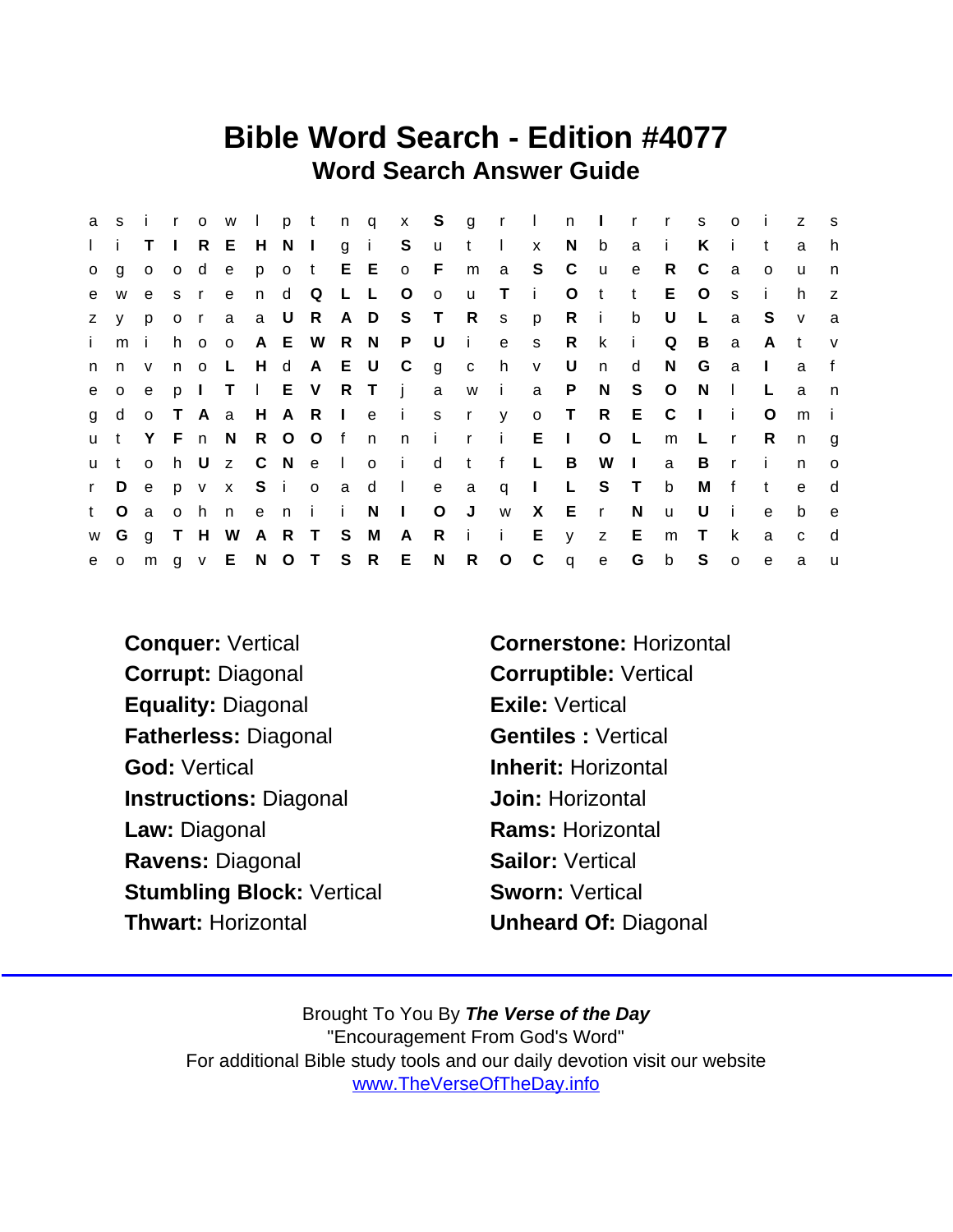## Bible Word Search - Edition #4077 Word Search Answer Guide

| a            |              |              |          |       |     |  |         |                   |                               |                         |      |              |                                 | sirowlptnqx Sgrlnlrrso |          |              |              |              |                | $\sim 1$ .   | z            | $^{\circ}$ s |
|--------------|--------------|--------------|----------|-------|-----|--|---------|-------------------|-------------------------------|-------------------------|------|--------------|---------------------------------|------------------------|----------|--------------|--------------|--------------|----------------|--------------|--------------|--------------|
|              | li.          | T.           | $\Box$   |       |     |  |         | R E H N I g i S   |                               | $u$ t l                 |      |              | $\mathsf{X}$                    | N b                    |          | a            | $\sim 1$ .   | K            | -i-            |              | a            | h.           |
| $\circ$      | q            | $\mathsf{O}$ | $\circ$  | d     | e   |  |         |                   | p o t E E o F                 |                         |      |              | m a S C                         |                        | <b>u</b> | e            | R.           | C            | a              | $\Omega$     | u            | n            |
| e            | W            | e –          | $S \cap$ |       | e – |  |         | n d Q L L O       |                               | $\overline{\mathbf{O}}$ | u Ti |              |                                 | $\circ$                | $-t$     | t            | E.           | $\circ$      | S              | Ť.           | h.           | z.           |
| Z.           | <b>V</b>     | p            | $o$ r    |       |     |  |         |                   | a a U R A D S T R s p         |                         |      |              |                                 | Ri                     |          | b            | U            | $\mathsf{L}$ | a              | <sub>S</sub> | $\mathsf{V}$ | a            |
| i.           | mi           |              |          | h o o |     |  |         |                   | A E W R N P U i e             |                         |      |              |                                 | s R                    | k.       | i.           | Q            | B            | a              | A            | $-t$         | V            |
| n            | n v          |              |          |       |     |  |         | n o L H d A E U C |                               | g c h                   |      |              | V                               | U                      | n        | d            | N.           | G            | a              | $\mathbf{I}$ | a            | f            |
| e            |              | $o$ e        |          |       |     |  |         |                   |                               |                         |      |              | p I T I E V R T j a w i a P     |                        | N        | S.           | $\circ$      | N.           | $\mathbf{L}$   | L            | a            | n,           |
| $\mathbf{g}$ | d            |              |          |       |     |  |         |                   | o T A a H A R I e i s r y     |                         |      |              |                                 | O T R E C              |          |              |              | $\Box$       | - i -          | O            | m            |              |
| <b>u</b>     |              |              |          |       |     |  |         |                   |                               |                         |      |              | t Y F n N R O O f n n i r i E l |                        | $\circ$  | $\mathsf{L}$ | m            | −L.          | $\mathsf{r}$   | R.           | n            | q            |
| <b>u</b>     | $\mathbf{t}$ | $\mathsf{O}$ | h.       |       |     |  |         |                   | Uz C N e I o i                | d                       |      |              | t f L B                         |                        | W        | $\mathbf{L}$ | a            | B            | $\mathsf{r}$   | -i-          | n            | $\circ$      |
| r            | D            | e            |          |       |     |  |         |                   | p v x S i o a d I e a         |                         |      | $\mathsf{q}$ | $\sim 1$ .                      |                        | L S T    |              | b            | M            | f              | $\mathsf{t}$ | $\mathbf{e}$ | d            |
| t.           | $\circ$      | a            | $\Omega$ | h n   |     |  | eni i N |                   | $\sim 1$ .                    | $\circ$                 | J    | W            |                                 | X E r                  |          | N            | $\mathsf{u}$ | U            | -i-            | $\mathbf{e}$ | b            | e            |
|              |              |              |          |       |     |  |         |                   | w G g T H W A R T S M A       | Rii                     |      |              |                                 | E y z                  |          | E            | m            | $\top$       | k.             | a            | $\mathbf{C}$ | d            |
| e            |              |              |          |       |     |  |         |                   | o m g v E N O T S R E N R O C |                         |      |              |                                 | q e                    |          | G b          |              | $\mathbf S$  | $\overline{O}$ | $\mathbf{e}$ | a            | $\mathsf{u}$ |

Corrupt: Diagonal Corruptible: Vertical Equality: Diagonal **Exile:** Vertical Fatherless: Diagonal Gentiles : Vertical God: Vertical **Inherit: Horizontal** Instructions: Diagonal **Join: Horizontal** Law: Diagonal **Rams: Horizontal** Ravens: Diagonal Sailor: Vertical Stumbling Block: Vertical Sworn: Vertical Thwart: Horizontal **Unheard Of: Diagonal** 

Conquer: Vertical Cornerstone: Horizontal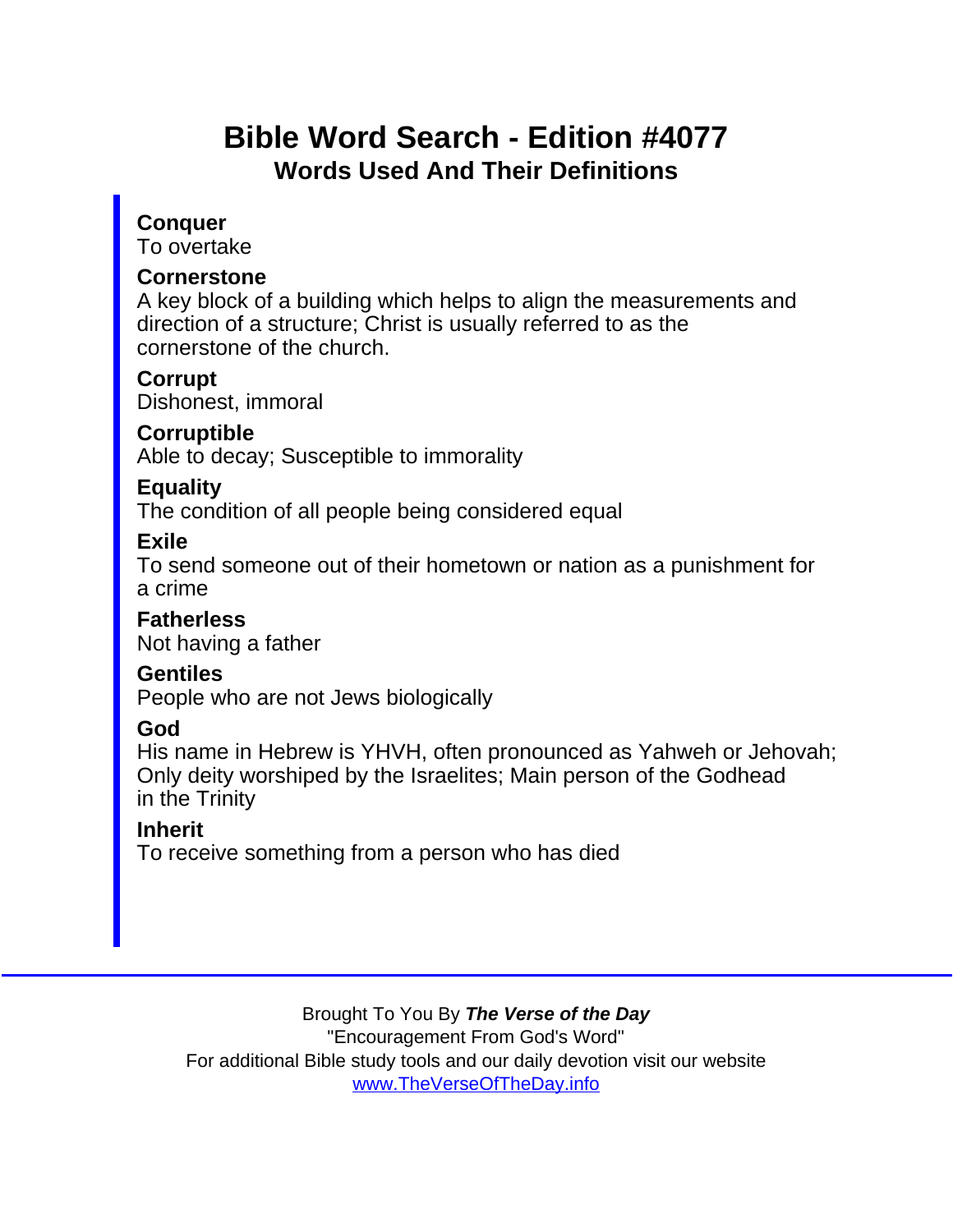## Bible Word Search - Edition #4077 Words Used And Their Definitions

**Conquer** To overtake

**Cornerstone** 

A key block of a building which helps to align the measurements and direction of a structure; Christ is usually referred to as the cornerstone of the church.

**Corrupt** Dishonest, immoral

**Corruptible** 

Able to decay; Susceptible to immorality

**Equality** 

The condition of all people being considered equal

Exile

To send someone out of their hometown or nation as a punishment for a crime

**Fatherless** Not having a father

Gentiles

People who are not Jews biologically

God

His name in Hebrew is YHVH, often pronounced as Yahweh or Jehovah; Only deity worshiped by the Israelites; Main person of the Godhead in the Trinity

Inherit

To receive something from a person who has died